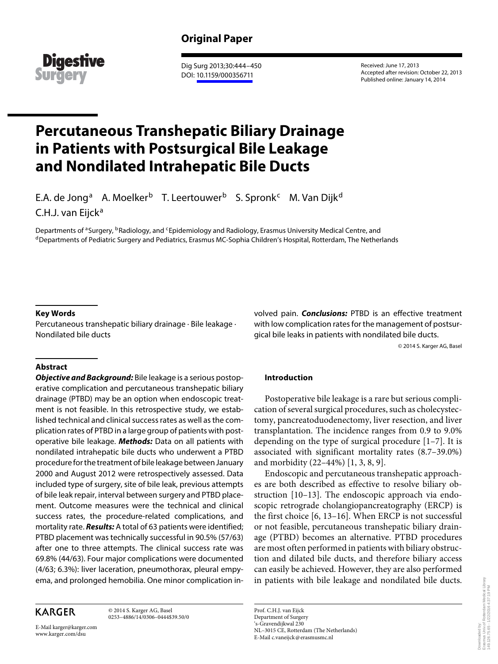

 Dig Surg 2013;30:444–450 DOI: [10.1159/000356711](http://dx.doi.org/10.1159%2F000356711)

 Received: June 17, 2013 Accepted after revision: October 22, 2013 Published online: January 14, 2014

# **Percutaneous Transhepatic Biliary Drainage in Patients with Postsurgical Bile Leakage and Nondilated Intrahepatic Bile Ducts**

E.A. de Jong<sup>a</sup> A. Moelker<sup>b</sup> T. Leertouwer<sup>b</sup> S. Spronk<sup>c</sup> M. Van Dijk<sup>d</sup> C.H.J. van Eijck<sup>a</sup>

Departments of <sup>a</sup>Surgery, <sup>b</sup>Radiology, and <sup>c</sup>Epidemiology and Radiology, Erasmus University Medical Centre, and<br><sup>d</sup>Departments of Pediatric Surgery and Pediatrics, Erasmus MC-Sophia Children's Hospital, Rotterdam, The N

## **Key Words**

 Percutaneous transhepatic biliary drainage · Bile leakage · Nondilated bile ducts

## **Abstract**

**Objective and Background:** Bile leakage is a serious postoperative complication and percutaneous transhepatic biliary drainage (PTBD) may be an option when endoscopic treatment is not feasible. In this retrospective study, we established technical and clinical success rates as well as the complication rates of PTBD in a large group of patients with postoperative bile leakage. **Methods:** Data on all patients with nondilated intrahepatic bile ducts who underwent a PTBD procedure for the treatment of bile leakage between January 2000 and August 2012 were retrospectively assessed. Data included type of surgery, site of bile leak, previous attempts of bile leak repair, interval between surgery and PTBD placement. Outcome measures were the technical and clinical success rates, the procedure-related complications, and mortality rate. **Results:** A total of 63 patients were identified; PTBD placement was technically successful in 90.5% (57/63) after one to three attempts. The clinical success rate was 69.8% (44/63). Four major complications were documented (4/63; 6.3%): liver laceration, pneumothorax, pleural empyema, and prolonged hemobilia. One minor complication in-

**KARGER** 

 © 2014 S. Karger AG, Basel 0253–4886/14/0306–0444\$39.50/0

E-Mail karger@karger.com www.karger.com/dsu

volved pain. **Conclusions:** PTBD is an effective treatment with low complication rates for the management of postsurgical bile leaks in patients with nondilated bile ducts.

© 2014 S. Karger AG, Basel

## **Introduction**

 Postoperative bile leakage is a rare but serious complication of several surgical procedures, such as cholecystectomy, pancreatoduodenectomy, liver resection, and liver transplantation. The incidence ranges from 0.9 to 9.0% depending on the type of surgical procedure  $[1-7]$ . It is associated with significant mortality rates (8.7–39.0%) and morbidity (22–44%) [1, 3, 8, 9] .

 Endoscopic and percutaneous transhepatic approaches are both described as effective to resolve biliary obstruction [10–13]. The endoscopic approach via endoscopic retrograde cholangiopancreatography (ERCP) is the first choice [6, 13–16] . When ERCP is not successful or not feasible, percutaneous transhepatic biliary drainage (PTBD) becomes an alternative. PTBD procedures are most often performed in patients with biliary obstruction and dilated bile ducts, and therefore biliary access can easily be achieved. However, they are also performed in patients with bile leakage and nondilated bile ducts.

Erasmus Univ.of Rotterdam Medical Library Erasmus Univ.of Rotterdam Medical Library<br>149.126.75.65 - 1/22/2016 4:37:19 PM 149.126.75.65 - 1/22/2016 4:37:19 PMDownloaded by: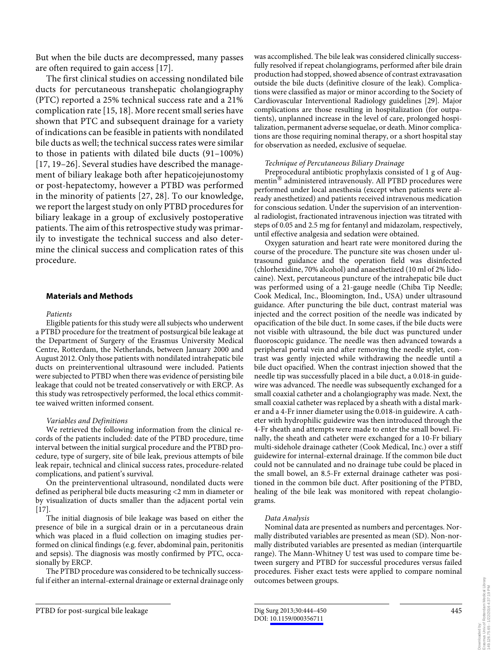But when the bile ducts are decompressed, many passes are often required to gain access [17] .

 The first clinical studies on accessing nondilated bile ducts for percutaneous transhepatic cholangiography (PTC) reported a 25% technical success rate and a 21% complication rate [15, 18] . More recent small series have shown that PTC and subsequent drainage for a variety of indications can be feasible in patients with nondilated bile ducts as well; the technical success rates were similar to those in patients with dilated bile ducts (91–100%) [17, 19–26] . Several studies have described the management of biliary leakage both after hepaticojejunostomy or post-hepatectomy, however a PTBD was performed in the minority of patients [27, 28]. To our knowledge, we report the largest study on only PTBD procedures for biliary leakage in a group of exclusively postoperative patients. The aim of this retrospective study was primarily to investigate the technical success and also determine the clinical success and complication rates of this procedure.

## **Materials and Methods**

#### *Patients*

 Eligible patients for this study were all subjects who underwent a PTBD procedure for the treatment of postsurgical bile leakage at the Department of Surgery of the Erasmus University Medical Centre, Rotterdam, the Netherlands, between January 2000 and August 2012. Only those patients with nondilated intrahepatic bile ducts on preinterventional ultrasound were included. Patients were subjected to PTBD when there was evidence of persisting bile leakage that could not be treated conservatively or with ERCP. As this study was retrospectively performed, the local ethics committee waived written informed consent.

## *Variables and Definitions*

 We retrieved the following information from the clinical records of the patients included: date of the PTBD procedure, time interval between the initial surgical procedure and the PTBD procedure, type of surgery, site of bile leak, previous attempts of bile leak repair, technical and clinical success rates, procedure-related complications, and patient's survival.

 On the preinterventional ultrasound, nondilated ducts were defined as peripheral bile ducts measuring <2 mm in diameter or by visualization of ducts smaller than the adjacent portal vein  $[17]$ .

 The initial diagnosis of bile leakage was based on either the presence of bile in a surgical drain or in a percutaneous drain which was placed in a fluid collection on imaging studies performed on clinical findings (e.g. fever, abdominal pain, peritonitis and sepsis). The diagnosis was mostly confirmed by PTC, occasionally by ERCP.

 The PTBD procedure was considered to be technically successful if either an internal-external drainage or external drainage only was accomplished. The bile leak was considered clinically successfully resolved if repeat cholangiograms, performed after bile drain production had stopped, showed absence of contrast extravasation outside the bile ducts (definitive closure of the leak). Complications were classified as major or minor according to the Society of Cardiovascular Interventional Radiology guidelines [29]. Major complications are those resulting in hospitalization (for outpatients), unplanned increase in the level of care, prolonged hospitalization, permanent adverse sequelae, or death. Minor complications are those requiring nominal therapy, or a short hospital stay for observation as needed, exclusive of sequelae.

#### *Technique of Percutaneous Biliary Drainage*

 Preprocedural antibiotic prophylaxis consisted of 1 g of Augmentin<sup>®</sup> administered intravenously. All PTBD procedures were performed under local anesthesia (except when patients were already anesthetized) and patients received intravenous medication for conscious sedation. Under the supervision of an interventional radiologist, fractionated intravenous injection was titrated with steps of 0.05 and 2.5 mg for fentanyl and midazolam, respectively, until effective analgesia and sedation were obtained.

 Oxygen saturation and heart rate were monitored during the course of the procedure. The puncture site was chosen under ultrasound guidance and the operation field was disinfected (chlorhexidine, 70% alcohol) and anaesthetized (10 ml of 2% lidocaine). Next, percutaneous puncture of the intrahepatic bile duct was performed using of a 21-gauge needle (Chiba Tip Needle; Cook Medical, Inc., Bloomington, Ind., USA) under ultrasound guidance. After puncturing the bile duct, contrast material was injected and the correct position of the needle was indicated by opacification of the bile duct. In some cases, if the bile ducts were not visible with ultrasound, the bile duct was punctured under fluoroscopic guidance. The needle was then advanced towards a peripheral portal vein and after removing the needle stylet, contrast was gently injected while withdrawing the needle until a bile duct opacified. When the contrast injection showed that the needle tip was successfully placed in a bile duct, a 0.018-in guidewire was advanced. The needle was subsequently exchanged for a small coaxial catheter and a cholangiography was made. Next, the small coaxial catheter was replaced by a sheath with a distal marker and a 4-Fr inner diameter using the 0.018-in guidewire. A catheter with hydrophilic guidewire was then introduced through the 4-Fr sheath and attempts were made to enter the small bowel. Finally, the sheath and catheter were exchanged for a 10-Fr biliary multi-sidehole drainage catheter (Cook Medical, Inc.) over a stiff guidewire for internal-external drainage. If the common bile duct could not be cannulated and no drainage tube could be placed in the small bowel, an 8.5-Fr external drainage catheter was positioned in the common bile duct. After positioning of the PTBD, healing of the bile leak was monitored with repeat cholangiograms.

## *Data Analysis*

 Nominal data are presented as numbers and percentages. Normally distributed variables are presented as mean (SD). Non-normally distributed variables are presented as median (interquartile range). The Mann-Whitney U test was used to compare time between surgery and PTBD for successful procedures versus failed procedures. Fisher exact tests were applied to compare nominal outcomes between groups.

PTBD for post-surgical bile leakage Dig Surg 2013;30:444-450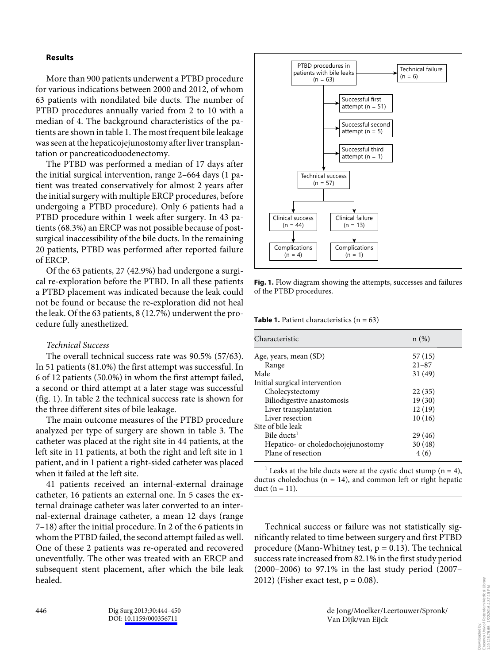## **Results**

 More than 900 patients underwent a PTBD procedure for various indications between 2000 and 2012, of whom 63 patients with nondilated bile ducts. The number of PTBD procedures annually varied from 2 to 10 with a median of 4. The background characteristics of the patients are shown in table 1. The most frequent bile leakage was seen at the hepaticojejunostomy after liver transplantation or pancreaticoduodenectomy.

 The PTBD was performed a median of 17 days after the initial surgical intervention, range 2–664 days (1 patient was treated conservatively for almost 2 years after the initial surgery with multiple ERCP procedures, before undergoing a PTBD procedure). Only 6 patients had a PTBD procedure within 1 week after surgery. In 43 patients (68.3%) an ERCP was not possible because of postsurgical inaccessibility of the bile ducts. In the remaining 20 patients, PTBD was performed after reported failure of ERCP.

 Of the 63 patients, 27 (42.9%) had undergone a surgical re-exploration before the PTBD. In all these patients a PTBD placement was indicated because the leak could not be found or because the re-exploration did not heal the leak. Of the 63 patients, 8 (12.7%) underwent the procedure fully anesthetized.

## *Technical Success*

 The overall technical success rate was 90.5% (57/63). In 51 patients (81.0%) the first attempt was successful. In 6 of 12 patients (50.0%) in whom the first attempt failed, a second or third attempt at a later stage was successful (fig. 1). In table 2 the technical success rate is shown for the three different sites of bile leakage.

 The main outcome measures of the PTBD procedure analyzed per type of surgery are shown in table 3. The catheter was placed at the right site in 44 patients, at the left site in 11 patients, at both the right and left site in 1 patient, and in 1 patient a right-sided catheter was placed when it failed at the left site.

 41 patients received an internal-external drainage catheter, 16 patients an external one. In 5 cases the external drainage catheter was later converted to an internal-external drainage catheter, a mean 12 days (range 7–18) after the initial procedure. In 2 of the 6 patients in whom the PTBD failed, the second attempt failed as well. One of these 2 patients was re-operated and recovered uneventfully. The other was treated with an ERCP and subsequent stent placement, after which the bile leak healed.



**Fig. 1.** Flow diagram showing the attempts, successes and failures of the PTBD procedures.

**Table 1.** Patient characteristics  $(n = 63)$ 

| Characteristic                     | n(%)      |
|------------------------------------|-----------|
| Age, years, mean (SD)              | 57(15)    |
| Range                              | $21 - 87$ |
| Male                               | 31(49)    |
| Initial surgical intervention      |           |
| Cholecystectomy                    | 22(35)    |
| Biliodigestive anastomosis         | 19(30)    |
| Liver transplantation              | 12(19)    |
| Liver resection                    | 10(16)    |
| Site of bile leak                  |           |
| Bile ducts <sup>1</sup>            | 29 (46)   |
| Hepatico- or choledochojejunostomy | 30(48)    |
| Plane of resection                 | 4(6)      |

<sup>1</sup> Leaks at the bile ducts were at the cystic duct stump ( $n = 4$ ), ductus choledochus ( $n = 14$ ), and common left or right hepatic duct  $(n = 11)$ .

 Technical success or failure was not statistically significantly related to time between surgery and first PTBD procedure (Mann-Whitney test,  $p = 0.13$ ). The technical success rate increased from 82.1% in the first study period (2000–2006) to 97.1% in the last study period (2007– 2012) (Fisher exact test,  $p = 0.08$ ).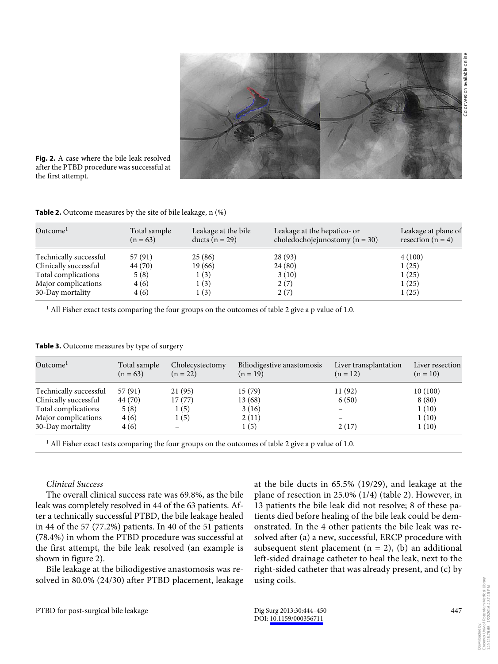

**Fig. 2.** A case where the bile leak resolved after the PTBD procedure was successful at the first attempt.

**Table 2.** Outcome measures by the site of bile leakage, n (%)

| Outcome <sup>1</sup>   | Total sample<br>$(n = 63)$ | Leakage at the bile<br>ducts $(n = 29)$ | Leakage at the hepatico- or<br>choledochojejunostomy ( $n = 30$ ) | Leakage at plane of<br>resection $(n = 4)$ |  |
|------------------------|----------------------------|-----------------------------------------|-------------------------------------------------------------------|--------------------------------------------|--|
| Technically successful | 57 (91)                    | 25(86)                                  | 28 (93)                                                           | 4(100)                                     |  |
| Clinically successful  | 44 (70)                    | 19 (66)                                 | 24 (80)                                                           | 1(25)                                      |  |
| Total complications    | 5(8)                       | 1(3)                                    | 3(10)                                                             | 1(25)                                      |  |
| Major complications    | 4(6)                       | 1(3)                                    | 2(7)                                                              | 1(25)                                      |  |
| 30-Day mortality       | 4 (6)                      | 1(3)                                    | 2(7)                                                              | 1(25)                                      |  |

 $^{\rm 1}$  All Fisher exact tests comparing the four groups on the outcomes of table 2 give a p value of 1.0.

**Table 3.** Outcome measures by type of surgery

| Outcome <sup>1</sup>   | Total sample<br>$(n = 63)$ | Cholecystectomy<br>$(n = 22)$ | Biliodigestive anastomosis<br>$(n = 19)$ | Liver transplantation<br>$(n = 12)$ | Liver resection<br>$(n = 10)$ |
|------------------------|----------------------------|-------------------------------|------------------------------------------|-------------------------------------|-------------------------------|
| Technically successful | 57(91)                     | 21 (95)                       | 15(79)                                   | 11(92)                              | 10(100)                       |
| Clinically successful  | 44 (70)                    | 17(77)                        | 13 (68)                                  | 6(50)                               | 8(80)                         |
| Total complications    | 5(8)                       | 1(5)                          | 3(16)                                    | $\overline{\phantom{0}}$            | 1(10)                         |
| Major complications    | 4(6)                       | 1(5)                          | 2(11)                                    |                                     | 1(10)                         |
| 30-Day mortality       | 4(6)                       |                               | 1 (5)                                    | 2(17)                               | 1(10)                         |
|                        |                            |                               |                                          |                                     |                               |

 $1$  All Fisher exact tests comparing the four groups on the outcomes of table 2 give a p value of 1.0.

## *Clinical Success*

 The overall clinical success rate was 69.8%, as the bile leak was completely resolved in 44 of the 63 patients. After a technically successful PTBD, the bile leakage healed in 44 of the 57 (77.2%) patients. In 40 of the 51 patients (78.4%) in whom the PTBD procedure was successful at the first attempt, the bile leak resolved (an example is shown in figure 2).

 Bile leakage at the biliodigestive anastomosis was resolved in 80.0% (24/30) after PTBD placement, leakage

Downloaded by:

Erasmus Univ.of Rotterdam Medical Library 149.126.75.65 - 1/22/2016 4:37:19 PM

Univ.of Rotterdam Medical Library<br>75.65 - 1/22/2016 4:37:19 PM

at the bile ducts in 65.5% (19/29), and leakage at the plane of resection in  $25.0\%$  (1/4) (table 2). However, in 13 patients the bile leak did not resolve; 8 of these patients died before healing of the bile leak could be demonstrated. In the 4 other patients the bile leak was resolved after (a) a new, successful, ERCP procedure with subsequent stent placement  $(n = 2)$ ,  $(b)$  an additional left-sided drainage catheter to heal the leak, next to the right-sided catheter that was already present, and (c) by using coils.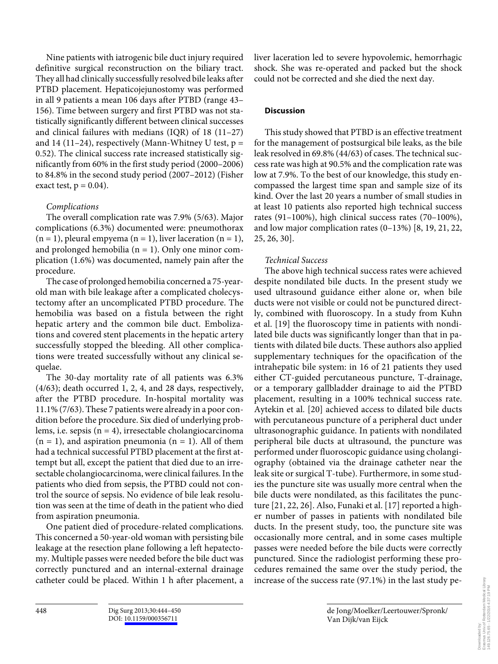Nine patients with iatrogenic bile duct injury required definitive surgical reconstruction on the biliary tract. They all had clinically successfully resolved bile leaks after PTBD placement. Hepaticojejunostomy was performed in all 9 patients a mean 106 days after PTBD (range 43– 156). Time between surgery and first PTBD was not statistically significantly different between clinical successes and clinical failures with medians (IQR) of 18 (11–27) and 14 (11–24), respectively (Mann-Whitney U test,  $p =$ 0.52). The clinical success rate increased statistically significantly from 60% in the first study period (2000–2006) to 84.8% in the second study period (2007–2012) (Fisher exact test,  $p = 0.04$ ).

# *Complications*

 The overall complication rate was 7.9% (5/63). Major complications (6.3%) documented were: pneumothorax  $(n = 1)$ , pleural empyema  $(n = 1)$ , liver laceration  $(n = 1)$ , and prolonged hemobilia  $(n = 1)$ . Only one minor complication (1.6%) was documented, namely pain after the procedure.

 The case of prolonged hemobilia concerned a 75-yearold man with bile leakage after a complicated cholecystectomy after an uncomplicated PTBD procedure. The hemobilia was based on a fistula between the right hepatic artery and the common bile duct. Embolizations and covered stent placements in the hepatic artery successfully stopped the bleeding. All other complications were treated successfully without any clinical sequelae.

 The 30-day mortality rate of all patients was 6.3% (4/63); death occurred 1, 2, 4, and 28 days, respectively, after the PTBD procedure. In-hospital mortality was 11.1% (7/63). These 7 patients were already in a poor condition before the procedure. Six died of underlying problems, i.e. sepsis  $(n = 4)$ , irresectable cholangiocarcinoma  $(n = 1)$ , and aspiration pneumonia  $(n = 1)$ . All of them had a technical successful PTBD placement at the first attempt but all, except the patient that died due to an irresectable cholangiocarcinoma, were clinical failures. In the patients who died from sepsis, the PTBD could not control the source of sepsis. No evidence of bile leak resolution was seen at the time of death in the patient who died from aspiration pneumonia.

 One patient died of procedure-related complications. This concerned a 50-year-old woman with persisting bile leakage at the resection plane following a left hepatectomy. Multiple passes were needed before the bile duct was correctly punctured and an internal-external drainage catheter could be placed. Within 1 h after placement, a liver laceration led to severe hypovolemic, hemorrhagic shock. She was re-operated and packed but the shock could not be corrected and she died the next day.

# **Discussion**

 This study showed that PTBD is an effective treatment for the management of postsurgical bile leaks, as the bile leak resolved in 69.8% (44/63) of cases. The technical success rate was high at 90.5% and the complication rate was low at 7.9%. To the best of our knowledge, this study encompassed the largest time span and sample size of its kind. Over the last 20 years a number of small studies in at least 10 patients also reported high technical success rates (91–100%), high clinical success rates (70–100%), and low major complication rates (0–13%) [8, 19, 21, 22, 25, 26, 30] .

# *Technical Success*

 The above high technical success rates were achieved despite nondilated bile ducts. In the present study we used ultrasound guidance either alone or, when bile ducts were not visible or could not be punctured directly, combined with fluoroscopy. In a study from Kuhn et al. [19] the fluoroscopy time in patients with nondilated bile ducts was significantly longer than that in patients with dilated bile ducts. These authors also applied supplementary techniques for the opacification of the intrahepatic bile system: in 16 of 21 patients they used either CT-guided percutaneous puncture, T-drainage, or a temporary gallbladder drainage to aid the PTBD placement, resulting in a 100% technical success rate. Aytekin et al. [20] achieved access to dilated bile ducts with percutaneous puncture of a peripheral duct under ultrasonographic guidance. In patients with nondilated peripheral bile ducts at ultrasound, the puncture was performed under fluoroscopic guidance using cholangiography (obtained via the drainage catheter near the leak site or surgical T-tube). Furthermore, in some studies the puncture site was usually more central when the bile ducts were nondilated, as this facilitates the puncture [21, 22, 26]. Also, Funaki et al. [17] reported a higher number of passes in patients with nondilated bile ducts. In the present study, too, the puncture site was occasionally more central, and in some cases multiple passes were needed before the bile ducts were correctly punctured. Since the radiologist performing these procedures remained the same over the study period, the increase of the success rate (97.1%) in the last study pe-

de Jong/Moelker/Leertouwer/Spronk/

Van Dijk/van Eijck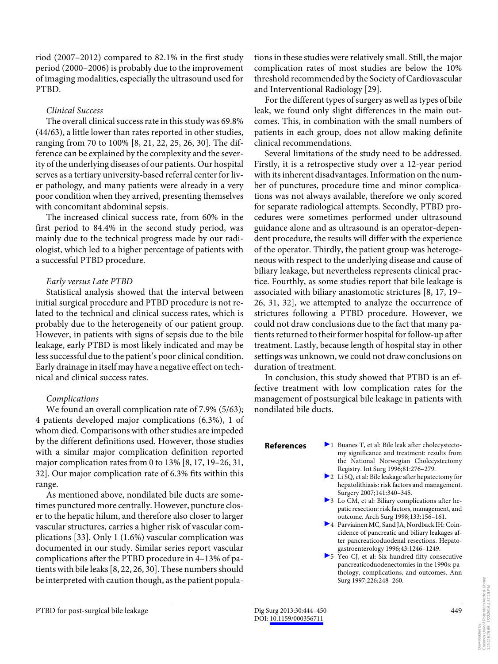riod (2007–2012) compared to 82.1% in the first study period (2000–2006) is probably due to the improvement of imaging modalities, especially the ultrasound used for PTBD.

# *Clinical Success*

 The overall clinical success rate in this study was 69.8% (44/63), a little lower than rates reported in other studies, ranging from 70 to 100% [8, 21, 22, 25, 26, 30]. The difference can be explained by the complexity and the severity of the underlying diseases of our patients. Our hospital serves as a tertiary university-based referral center for liver pathology, and many patients were already in a very poor condition when they arrived, presenting themselves with concomitant abdominal sepsis.

 The increased clinical success rate, from 60% in the first period to 84.4% in the second study period, was mainly due to the technical progress made by our radiologist, which led to a higher percentage of patients with a successful PTBD procedure.

# *Early versus Late PTBD*

 Statistical analysis showed that the interval between initial surgical procedure and PTBD procedure is not related to the technical and clinical success rates, which is probably due to the heterogeneity of our patient group. However, in patients with signs of sepsis due to the bile leakage, early PTBD is most likely indicated and may be less successful due to the patient's poor clinical condition. Early drainage in itself may have a negative effect on technical and clinical success rates.

# *Complications*

 We found an overall complication rate of 7.9% (5/63); 4 patients developed major complications (6.3%), 1 of whom died. Comparisons with other studies are impeded by the different definitions used. However, those studies with a similar major complication definition reported major complication rates from 0 to 13% [8, 17, 19–26, 31, 32] . Our major complication rate of 6.3% fits within this range.

 As mentioned above, nondilated bile ducts are sometimes punctured more centrally. However, puncture closer to the hepatic hilum, and therefore also closer to larger vascular structures, carries a higher risk of vascular complications [33]. Only  $1(1.6%)$  vascular complication was documented in our study. Similar series report vascular complications after the PTBD procedure in 4–13% of patients with bile leaks [8, 22, 26, 30] . These numbers should be interpreted with caution though, as the patient populations in these studies were relatively small. Still, the major complication rates of most studies are below the 10% threshold recommended by the Society of Cardiovascular and Interventional Radiology [29] .

 For the different types of surgery as well as types of bile leak, we found only slight differences in the main outcomes. This, in combination with the small numbers of patients in each group, does not allow making definite clinical recommendations.

 Several limitations of the study need to be addressed. Firstly, it is a retrospective study over a 12-year period with its inherent disadvantages. Information on the number of punctures, procedure time and minor complications was not always available, therefore we only scored for separate radiological attempts. Secondly, PTBD procedures were sometimes performed under ultrasound guidance alone and as ultrasound is an operator-dependent procedure, the results will differ with the experience of the operator. Thirdly, the patient group was heterogeneous with respect to the underlying disease and cause of biliary leakage, but nevertheless represents clinical practice. Fourthly, as some studies report that bile leakage is associated with biliary anastomotic strictures [8, 17, 19– 26, 31, 32], we attempted to analyze the occurrence of strictures following a PTBD procedure. However, we could not draw conclusions due to the fact that many patients returned to their former hospital for follow-up after treatment. Lastly, because length of hospital stay in other settings was unknown, we could not draw conclusions on duration of treatment.

 In conclusion, this study showed that PTBD is an effective treatment with low complication rates for the management of postsurgical bile leakage in patients with nondilated bile ducts.

- **References** 21 Buanes T, et al: Bile leak after cholecystectomy significance and treatment: results from the National Norwegian Cholecystectomy Registry. Int Surg 1996;81:276–279.
	- 2 Li SQ, et al: Bile leakage after hepatectomy for hepatolithiasis: risk factors and management. Surgery 2007;141:340–345.
	- 3 Lo CM, et al: Biliary complications after hepatic resection: risk factors, management, and outcome. Arch Surg 1998;133:156–161.
	- 4 Parviainen MC, Sand JA, Nordback IH: Coincidence of pancreatic and biliary leakages after pancreaticoduodenal resections. Hepatogastroenterology 1996;43:1246–1249.
	- 5 Yeo CJ, et al: Six hundred fifty consecutive pancreaticoduodenectomies in the 1990s: pathology, complications, and outcomes. Ann Surg 1997;226:248–260.

449

PTBD for post-surgical bile leakage Dig Surg 2013;30:444-450